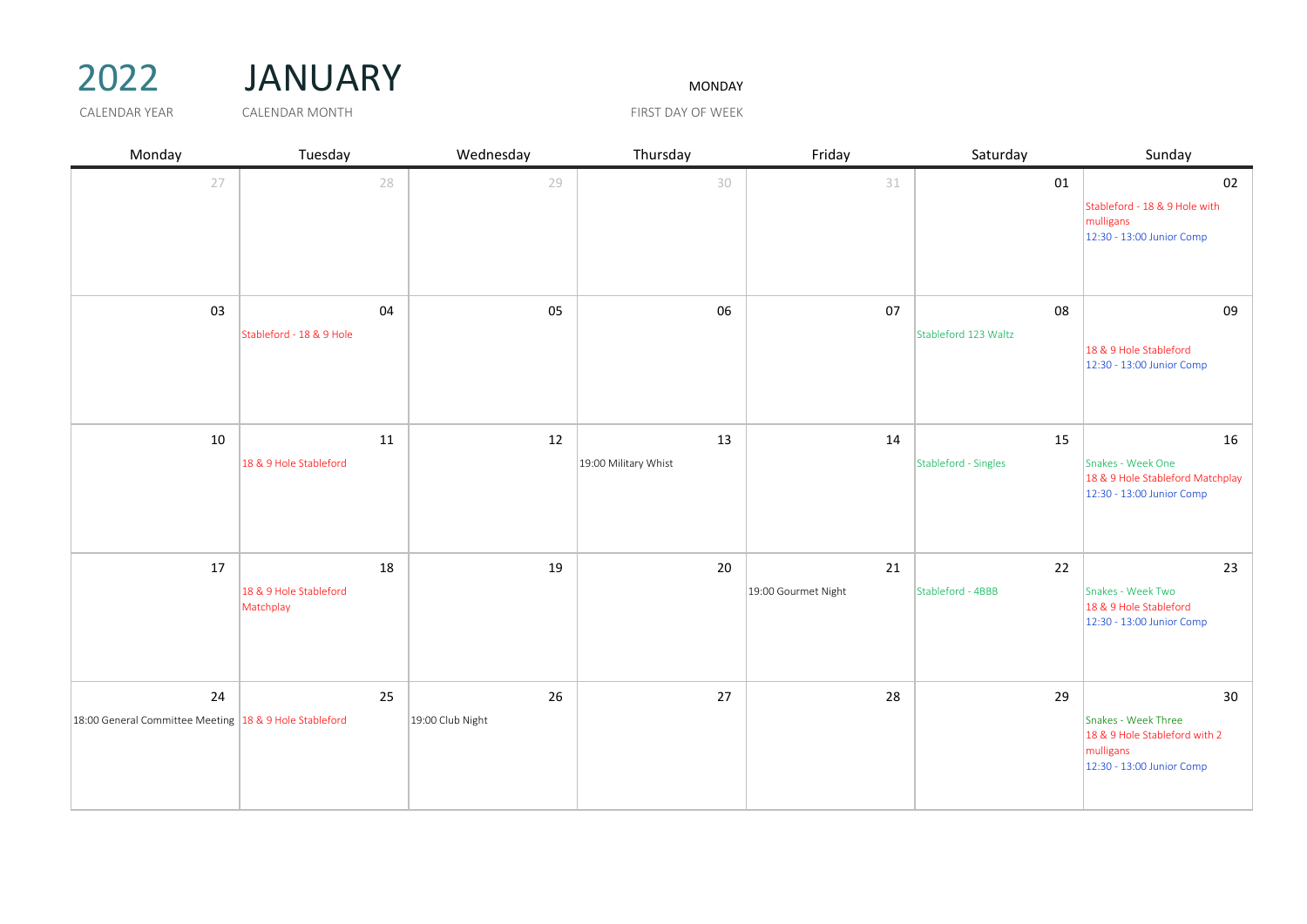## 2022 JANUARY MONDAY

| Monday                                                       | Tuesday                                   | Wednesday              | Thursday                   | Friday                    | Saturday                   | Sunday                                                                                               |
|--------------------------------------------------------------|-------------------------------------------|------------------------|----------------------------|---------------------------|----------------------------|------------------------------------------------------------------------------------------------------|
| 27                                                           | 28                                        | 29                     | 30                         | 31                        | 01                         | 02<br>Stableford - 18 & 9 Hole with<br>mulligans<br>12:30 - 13:00 Junior Comp                        |
| 03                                                           | 04<br>Stableford - 18 & 9 Hole            | 05                     | 06                         | 07                        | 08<br>Stableford 123 Waltz | 09<br>18 & 9 Hole Stableford<br>12:30 - 13:00 Junior Comp                                            |
| 10                                                           | 11<br>18 & 9 Hole Stableford              | 12                     | 13<br>19:00 Military Whist | 14                        | 15<br>Stableford - Singles | 16<br>Snakes - Week One<br>18 & 9 Hole Stableford Matchplay<br>12:30 - 13:00 Junior Comp             |
| 17                                                           | 18<br>18 & 9 Hole Stableford<br>Matchplay | 19                     | 20                         | 21<br>19:00 Gourmet Night | 22<br>Stableford - 4BBB    | 23<br>Snakes - Week Two<br>18 & 9 Hole Stableford<br>12:30 - 13:00 Junior Comp                       |
| 24<br>18:00 General Committee Meeting 18 & 9 Hole Stableford | 25                                        | 26<br>19:00 Club Night | 27                         | 28                        | 29                         | 30<br>Snakes - Week Three<br>18 & 9 Hole Stableford with 2<br>mulligans<br>12:30 - 13:00 Junior Comp |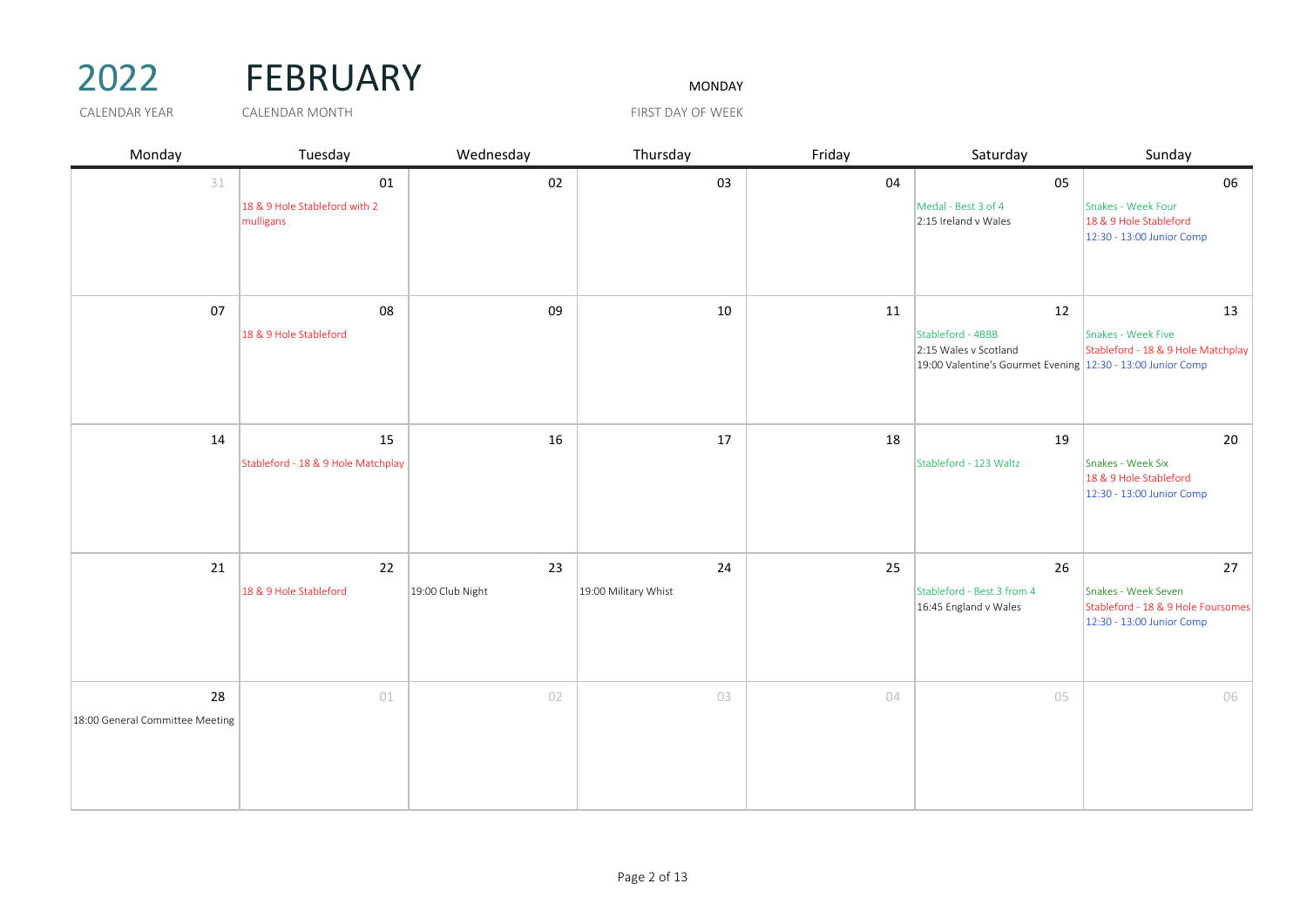## 2022 FEBRUARY MONDAY

| Monday                                | Tuesday                                          | Wednesday              | Thursday                   | Friday | Saturday                                                                                                        | Sunday                                                                                       |
|---------------------------------------|--------------------------------------------------|------------------------|----------------------------|--------|-----------------------------------------------------------------------------------------------------------------|----------------------------------------------------------------------------------------------|
| 31                                    | 01<br>18 & 9 Hole Stableford with 2<br>mulligans | 02                     | 03                         | 04     | 05<br>Medal - Best 3 of 4<br>2:15 Ireland v Wales                                                               | 06<br>Snakes - Week Four<br>18 & 9 Hole Stableford<br>12:30 - 13:00 Junior Comp              |
| 07                                    | 08<br>18 & 9 Hole Stableford                     | 09                     | 10                         | 11     | 12<br>Stableford - 4BBB<br>2:15 Wales v Scotland<br>19:00 Valentine's Gourmet Evening 12:30 - 13:00 Junior Comp | 13<br>Snakes - Week Five<br>Stableford - 18 & 9 Hole Matchplay                               |
| 14                                    | 15<br>Stableford - 18 & 9 Hole Matchplay         | 16                     | 17                         | 18     | 19<br>Stableford - 123 Waltz                                                                                    | 20<br>Snakes - Week Six<br>18 & 9 Hole Stableford<br>12:30 - 13:00 Junior Comp               |
| 21                                    | 22<br>18 & 9 Hole Stableford                     | 23<br>19:00 Club Night | 24<br>19:00 Military Whist | 25     | 26<br>Stableford - Best 3 from 4<br>16:45 England v Wales                                                       | 27<br>Snakes - Week Seven<br>Stableford - 18 & 9 Hole Foursomes<br>12:30 - 13:00 Junior Comp |
| 28<br>18:00 General Committee Meeting | 01                                               | 02                     | 03                         | 04     | 05                                                                                                              | 06                                                                                           |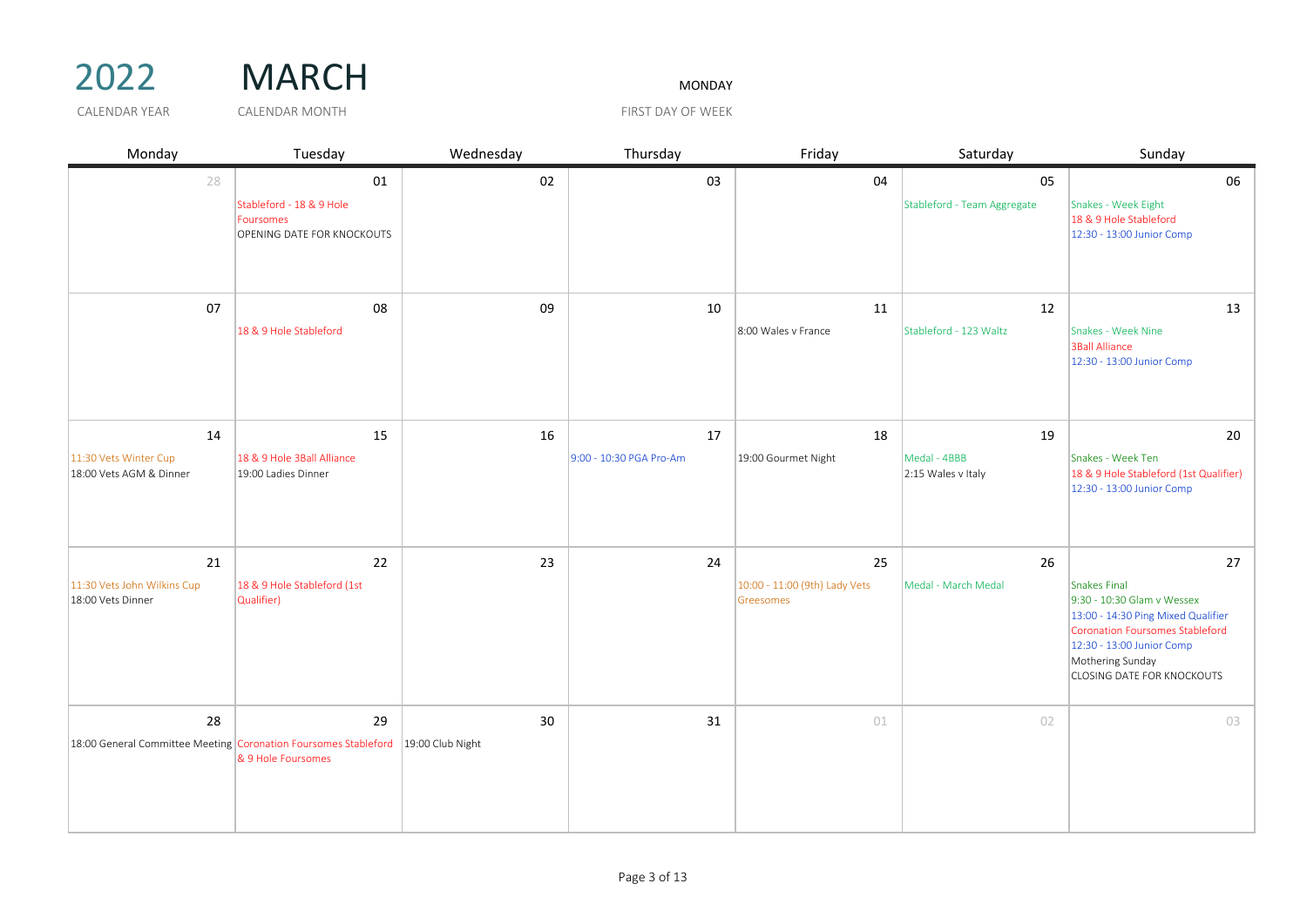

| Monday                                                                                 | Tuesday                                                                   | Wednesday | Thursday                      | Friday                                           | Saturday                                 | Sunday                                                                                                                                                                                                                 |
|----------------------------------------------------------------------------------------|---------------------------------------------------------------------------|-----------|-------------------------------|--------------------------------------------------|------------------------------------------|------------------------------------------------------------------------------------------------------------------------------------------------------------------------------------------------------------------------|
| 28                                                                                     | 01<br>Stableford - 18 & 9 Hole<br>Foursomes<br>OPENING DATE FOR KNOCKOUTS | 02        | 03                            | 04                                               | 05<br>Stableford - Team Aggregate        | 06<br>Snakes - Week Eight<br>18 & 9 Hole Stableford<br>12:30 - 13:00 Junior Comp                                                                                                                                       |
| 07                                                                                     | 08<br>18 & 9 Hole Stableford                                              | 09        | 10                            | 11<br>8:00 Wales v France                        | 12<br>Stableford - 123 Waltz             | 13<br>Snakes - Week Nine<br><b>3Ball Alliance</b><br>12:30 - 13:00 Junior Comp                                                                                                                                         |
| 14<br>11:30 Vets Winter Cup<br>18:00 Vets AGM & Dinner                                 | 15<br>18 & 9 Hole 3Ball Alliance<br>19:00 Ladies Dinner                   | 16        | 17<br>9:00 - 10:30 PGA Pro-Am | 18<br>19:00 Gourmet Night                        | 19<br>Medal - 4BBB<br>2:15 Wales v Italy | 20<br>Snakes - Week Ten<br>18 & 9 Hole Stableford (1st Qualifier)<br>12:30 - 13:00 Junior Comp                                                                                                                         |
| 21<br>11:30 Vets John Wilkins Cup<br>18:00 Vets Dinner                                 | 22<br>18 & 9 Hole Stableford (1st<br>Qualifier)                           | 23        | 24                            | 25<br>10:00 - 11:00 (9th) Lady Vets<br>Greesomes | 26<br>Medal - March Medal                | 27<br><b>Snakes Final</b><br>9:30 - 10:30 Glam v Wessex<br>13:00 - 14:30 Ping Mixed Qualifier<br>Coronation Foursomes Stableford<br>12:30 - 13:00 Junior Comp<br>Mothering Sunday<br><b>CLOSING DATE FOR KNOCKOUTS</b> |
| 28<br>18:00 General Committee Meeting Coronation Foursomes Stableford 19:00 Club Night | 29<br>& 9 Hole Foursomes                                                  | 30        | 31                            | 01                                               | 02                                       | 03                                                                                                                                                                                                                     |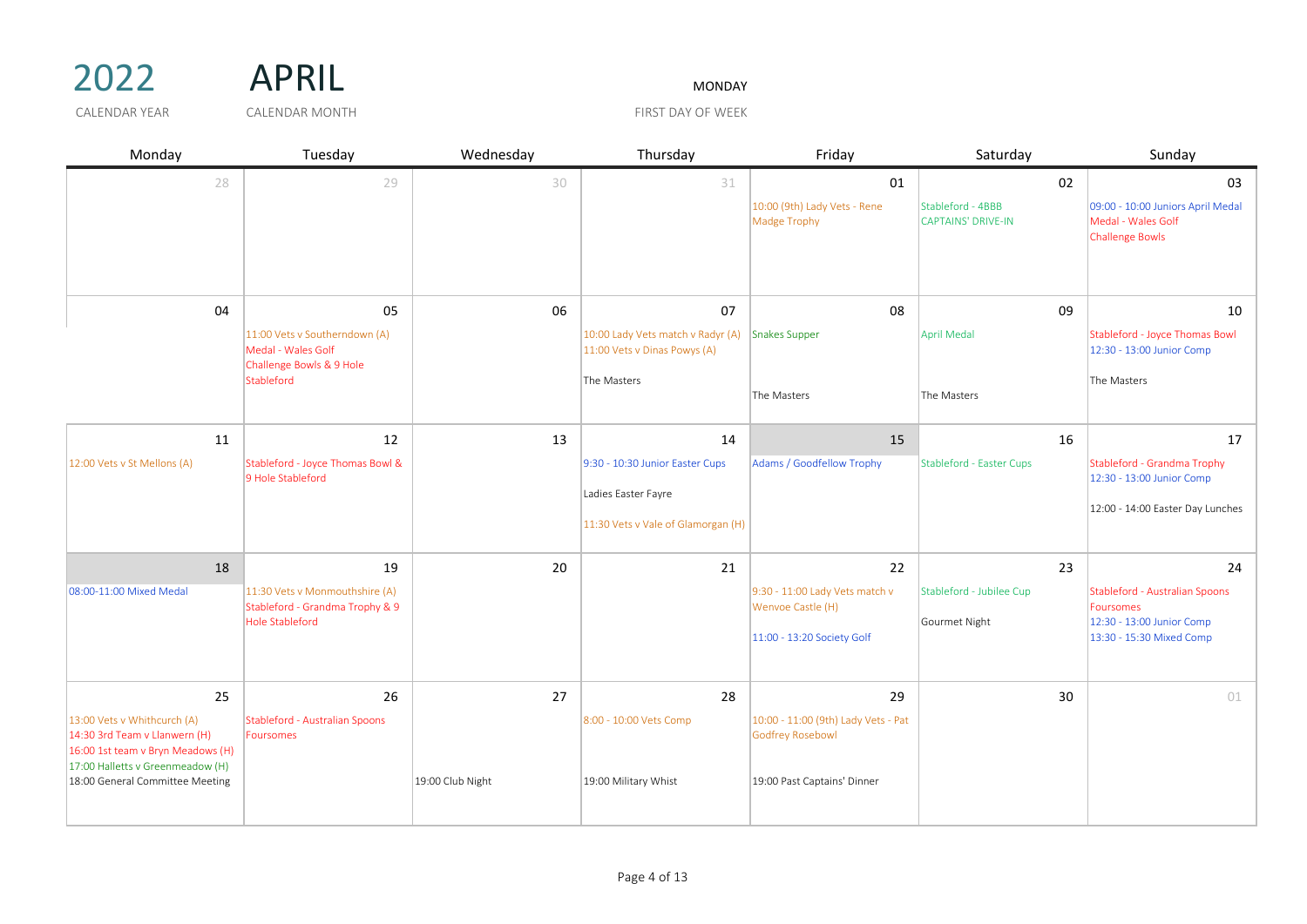| 2022 | <b>APRIL</b> | <b>MONDAY</b> |
|------|--------------|---------------|
|      |              |               |

CALENDAR YEAR GALENDAR MONTH THE SERVICE OF THE STATE OF WEEK

| Monday                                                                                                                                | Tuesday                                                                         | Wednesday        | Thursday                                                          | Friday                                                  | Saturday                                       | Sunday                                                                            |
|---------------------------------------------------------------------------------------------------------------------------------------|---------------------------------------------------------------------------------|------------------|-------------------------------------------------------------------|---------------------------------------------------------|------------------------------------------------|-----------------------------------------------------------------------------------|
| 28                                                                                                                                    | 29                                                                              | 30               | 31                                                                | 01                                                      | 02                                             | 03                                                                                |
|                                                                                                                                       |                                                                                 |                  |                                                                   | 10:00 (9th) Lady Vets - Rene<br>Madge Trophy            | Stableford - 4BBB<br><b>CAPTAINS' DRIVE-IN</b> | 09:00 - 10:00 Juniors April Medal<br>Medal - Wales Golf<br><b>Challenge Bowls</b> |
| 04                                                                                                                                    | 05                                                                              | 06               | 07                                                                | 08                                                      | 09                                             | 10                                                                                |
|                                                                                                                                       | 11:00 Vets v Southerndown (A)<br>Medal - Wales Golf<br>Challenge Bowls & 9 Hole |                  | 10:00 Lady Vets match v Radyr (A)<br>11:00 Vets v Dinas Powys (A) | Snakes Supper                                           | April Medal                                    | Stableford - Joyce Thomas Bowl<br>12:30 - 13:00 Junior Comp                       |
|                                                                                                                                       | Stableford                                                                      |                  | The Masters                                                       | The Masters                                             | The Masters                                    | The Masters                                                                       |
| 11                                                                                                                                    | 12                                                                              | 13               | 14                                                                | 15                                                      | 16                                             | 17                                                                                |
| 12:00 Vets v St Mellons (A)                                                                                                           | Stableford - Joyce Thomas Bowl &<br>9 Hole Stableford                           |                  | 9:30 - 10:30 Junior Easter Cups                                   | Adams / Goodfellow Trophy                               | Stableford - Easter Cups                       | Stableford - Grandma Trophy<br>12:30 - 13:00 Junior Comp                          |
|                                                                                                                                       |                                                                                 |                  | Ladies Easter Fayre                                               |                                                         |                                                | 12:00 - 14:00 Easter Day Lunches                                                  |
|                                                                                                                                       |                                                                                 |                  | 11:30 Vets v Vale of Glamorgan (H)                                |                                                         |                                                |                                                                                   |
| 18                                                                                                                                    | 19                                                                              | 20               | 21                                                                | 22                                                      | 23                                             | 24                                                                                |
| 08:00-11:00 Mixed Medal                                                                                                               | 11:30 Vets v Monmouthshire (A)<br>Stableford - Grandma Trophy & 9               |                  |                                                                   | 9:30 - 11:00 Lady Vets match v<br>Wenvoe Castle (H)     | Stableford - Jubilee Cup                       | Stableford - Australian Spoons<br>Foursomes                                       |
|                                                                                                                                       | <b>Hole Stableford</b>                                                          |                  |                                                                   |                                                         | Gourmet Night                                  | 12:30 - 13:00 Junior Comp                                                         |
|                                                                                                                                       |                                                                                 |                  |                                                                   | 11:00 - 13:20 Society Golf                              |                                                | 13:30 - 15:30 Mixed Comp                                                          |
| 25                                                                                                                                    | 26                                                                              | 27               | 28                                                                | 29                                                      | 30                                             | 01                                                                                |
| 13:00 Vets v Whithcurch (A)<br>14:30 3rd Team v Llanwern (H)<br>16:00 1st team v Bryn Meadows (H)<br>17:00 Halletts v Greenmeadow (H) | Stableford - Australian Spoons<br>Foursomes                                     |                  | 8:00 - 10:00 Vets Comp                                            | 10:00 - 11:00 (9th) Lady Vets - Pat<br>Godfrey Rosebowl |                                                |                                                                                   |
| 18:00 General Committee Meeting                                                                                                       |                                                                                 | 19:00 Club Night | 19:00 Military Whist                                              | 19:00 Past Captains' Dinner                             |                                                |                                                                                   |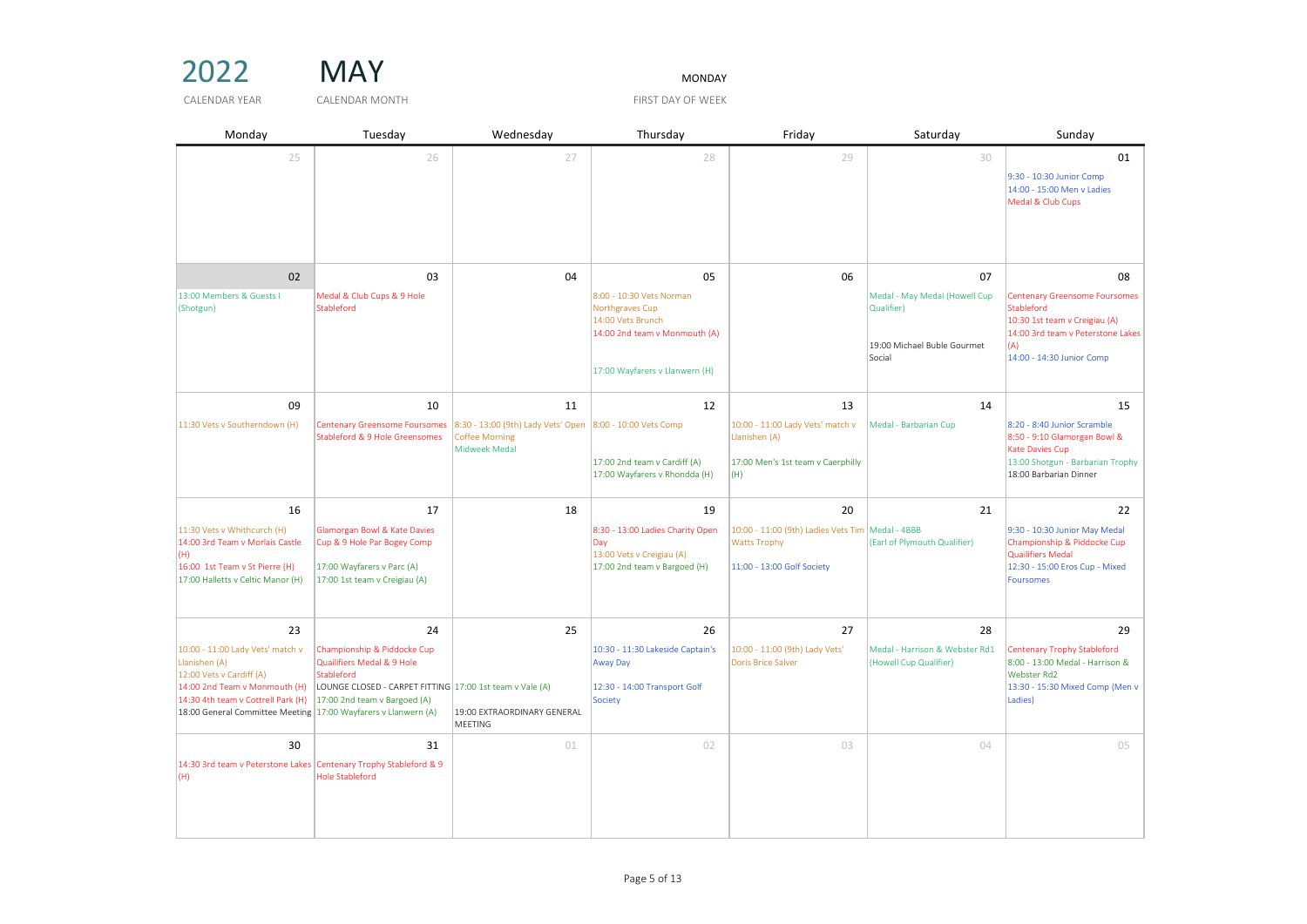2022 MAY MONDAY

| Monday                                                                                                                                                                                                                       | Tuesday                                                                                                                                                                   | Wednesday                                                                                                 | Thursday                                                                                                                                  | Friday                                                                                                      | Saturday                                                                                   | Sunday                                                                                                                                                             |
|------------------------------------------------------------------------------------------------------------------------------------------------------------------------------------------------------------------------------|---------------------------------------------------------------------------------------------------------------------------------------------------------------------------|-----------------------------------------------------------------------------------------------------------|-------------------------------------------------------------------------------------------------------------------------------------------|-------------------------------------------------------------------------------------------------------------|--------------------------------------------------------------------------------------------|--------------------------------------------------------------------------------------------------------------------------------------------------------------------|
| 25                                                                                                                                                                                                                           | 26                                                                                                                                                                        | 27                                                                                                        | 28                                                                                                                                        | 29                                                                                                          | 30                                                                                         | 01<br>9:30 - 10:30 Junior Comp<br>14:00 - 15:00 Men v Ladies<br>Medal & Club Cups                                                                                  |
| 02<br>13:00 Members & Guests I<br>(Shotgun)                                                                                                                                                                                  | 03<br>Medal & Club Cups & 9 Hole<br>Stableford                                                                                                                            | 04                                                                                                        | 05<br>8:00 - 10:30 Vets Norman<br>Northgraves Cup<br>14:00 Vets Brunch<br>14:00 2nd team v Monmouth (A)<br>17:00 Wayfarers v Llanwern (H) | 06                                                                                                          | 07<br>Medal - May Medal (Howell Cup<br>Qualifier)<br>19:00 Michael Buble Gourmet<br>Social | 08<br><b>Centenary Greensome Foursomes</b><br>Stableford<br>10:30 1st team v Creigiau (A)<br>14:00 3rd team v Peterstone Lakes<br>(A)<br>14:00 - 14:30 Junior Comp |
| 09<br>11:30 Vets v Southerndown (H)                                                                                                                                                                                          | 10<br><b>Centenary Greensome Foursomes</b><br>Stableford & 9 Hole Greensomes                                                                                              | 11<br>8:30 - 13:00 (9th) Lady Vets' Open 8:00 - 10:00 Vets Comp<br><b>Coffee Morning</b><br>Midweek Medal | 12<br>17:00 2nd team v Cardiff (A)<br>17:00 Wayfarers v Rhondda (H)                                                                       | 13<br>10:00 - 11:00 Lady Vets' match v<br>Llanishen (A)<br>17:00 Men's 1st team v Caerphilly<br>(H)         | 14<br>Medal - Barbarian Cup                                                                | 15<br>8:20 - 8:40 Junior Scramble<br>8:50 - 9:10 Glamorgan Bowl &<br>Kate Davies Cup<br>13:00 Shotgun - Barbarian Trophy<br>18:00 Barbarian Dinner                 |
| 16<br>11:30 Vets v Whithcurch (H)<br>14:00 3rd Team v Morlais Castle<br>(H)<br>16:00 1st Team v St Pierre (H)<br>17:00 Halletts v Celtic Manor (H)                                                                           | 17<br>Glamorgan Bowl & Kate Davies<br>Cup & 9 Hole Par Bogey Comp<br>17:00 Wayfarers v Parc (A)<br>17:00 1st team v Creigiau (A)                                          | 18                                                                                                        | 19<br>8:30 - 13:00 Ladies Charity Open<br>Day<br>13:00 Vets v Creigiau (A)<br>17:00 2nd team v Bargoed (H)                                | 20<br>10:00 - 11:00 (9th) Ladies Vets Tim Medal - 4BBB<br><b>Watts Trophy</b><br>11:00 - 13:00 Golf Society | 21<br>(Earl of Plymouth Qualifier)                                                         | 22<br>9:30 - 10:30 Junior May Medal<br>Championship & Piddocke Cup<br><b>Quailifiers Medal</b><br>12:30 - 15:00 Eros Cup - Mixed<br>Foursomes                      |
| 23<br>10:00 - 11:00 Lady Vets' match v<br>Llanishen (A)<br>12:00 Vets v Cardiff (A)<br>14:00 2nd Team v Monmouth (H)<br>14:30 4th team v Cottrell Park (H)<br>18:00 General Committee Meeting 17:00 Wayfarers v Llanwern (A) | 24<br>Championship & Piddocke Cup<br>Quailifiers Medal & 9 Hole<br>Stableford<br>LOUNGE CLOSED - CARPET FITTING 17:00 1st team v Vale (A)<br>17:00 2nd team v Bargoed (A) | 25<br>19:00 EXTRAORDINARY GENERAL<br><b>MEETING</b>                                                       | 26<br>10:30 - 11:30 Lakeside Captain's<br>Away Day<br>12:30 - 14:00 Transport Golf<br>Society                                             | 27<br>10:00 - 11:00 (9th) Lady Vets'<br>Doris Brice Salver                                                  | 28<br>Medal - Harrison & Webster Rd1<br>(Howell Cup Qualifier)                             | 29<br>Centenary Trophy Stableford<br>8:00 - 13:00 Medal - Harrison &<br>Webster Rd2<br>13:30 - 15:30 Mixed Comp (Men v<br>Ladies)                                  |
| 30<br>14:30 3rd team v Peterstone Lakes Centenary Trophy Stableford & 9<br>(H)                                                                                                                                               | 31<br><b>Hole Stableford</b>                                                                                                                                              | 01                                                                                                        | 02                                                                                                                                        | 03                                                                                                          | 04                                                                                         | 05                                                                                                                                                                 |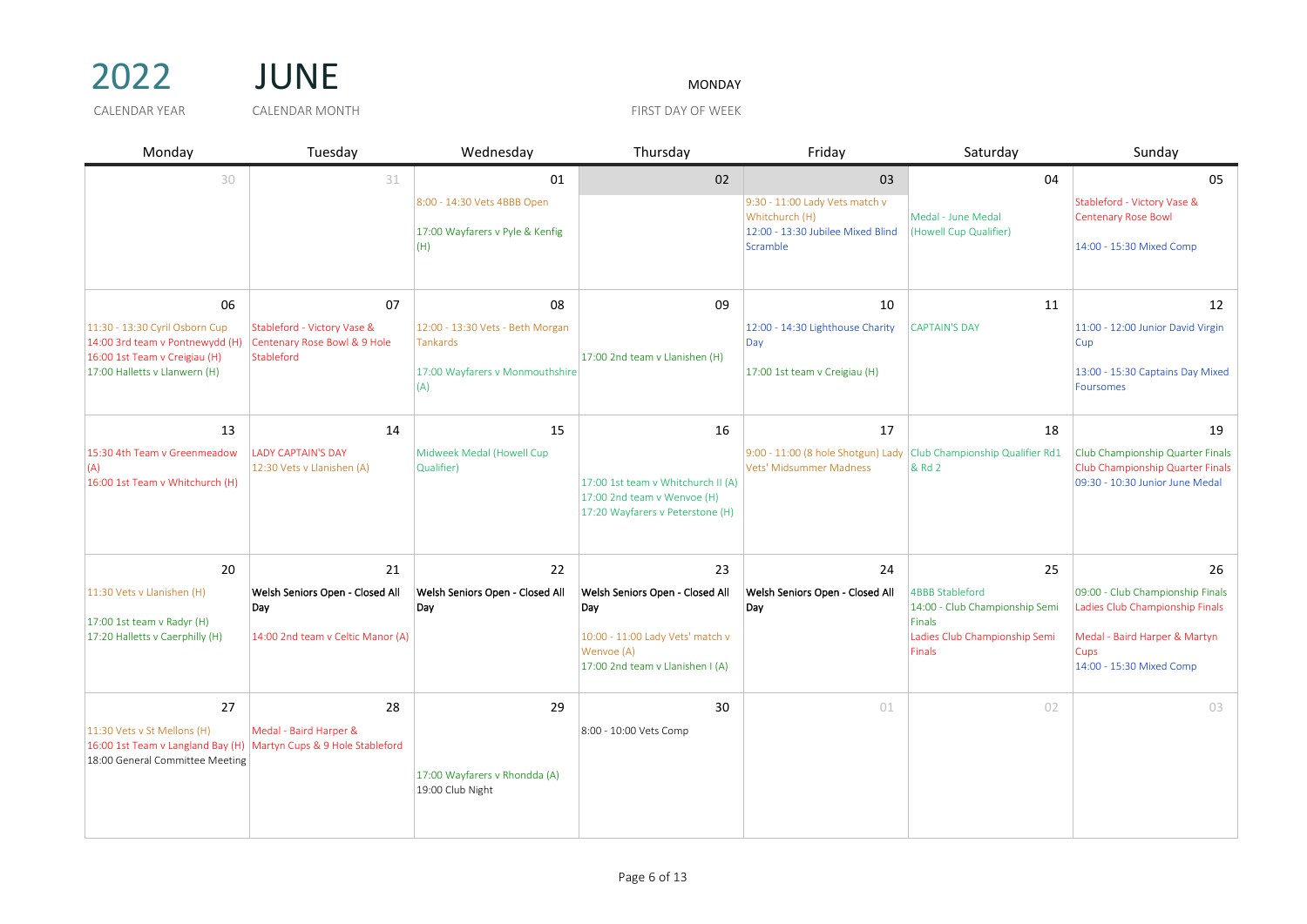



| Monday                                                                                                                                    | Tuesday                                                                           | Wednesday                                                                                           | Thursday                                                                                                                           | Friday                                                                                                  | Saturday                                                                                                            | Sunday                                                                                                                                         |
|-------------------------------------------------------------------------------------------------------------------------------------------|-----------------------------------------------------------------------------------|-----------------------------------------------------------------------------------------------------|------------------------------------------------------------------------------------------------------------------------------------|---------------------------------------------------------------------------------------------------------|---------------------------------------------------------------------------------------------------------------------|------------------------------------------------------------------------------------------------------------------------------------------------|
| 30                                                                                                                                        | 31                                                                                | 01<br>8:00 - 14:30 Vets 4BBB Open<br>17:00 Wayfarers v Pyle & Kenfig<br>(H)                         | 02                                                                                                                                 | 03<br>9:30 - 11:00 Lady Vets match v<br>Whitchurch (H)<br>12:00 - 13:30 Jubilee Mixed Blind<br>Scramble | 04<br>Medal - June Medal<br>(Howell Cup Qualifier)                                                                  | 05<br>Stableford - Victory Vase &<br><b>Centenary Rose Bowl</b><br>14:00 - 15:30 Mixed Comp                                                    |
| 06<br>11:30 - 13:30 Cyril Osborn Cup<br>14:00 3rd team v Pontnewydd (H)<br>16:00 1st Team v Creigiau (H)<br>17:00 Halletts v Llanwern (H) | 07<br>Stableford - Victory Vase &<br>Centenary Rose Bowl & 9 Hole<br>Stableford   | 08<br>12:00 - 13:30 Vets - Beth Morgan<br><b>Tankards</b><br>17:00 Wayfarers v Monmouthshire<br>(A) | 09<br>17:00 2nd team v Llanishen (H)                                                                                               | 10<br>12:00 - 14:30 Lighthouse Charity<br>Day<br>17:00 1st team v Creigiau (H)                          | 11<br><b>CAPTAIN'S DAY</b>                                                                                          | 12<br>11:00 - 12:00 Junior David Virgin<br>Cup<br>13:00 - 15:30 Captains Day Mixed<br><b>Foursomes</b>                                         |
| 13<br>15:30 4th Team v Greenmeadow<br>(A)<br>16:00 1st Team v Whitchurch (H)                                                              | 14<br><b>LADY CAPTAIN'S DAY</b><br>12:30 Vets v Llanishen (A)                     | 15<br>Midweek Medal (Howell Cup<br>Qualifier)                                                       | 16<br>17:00 1st team v Whitchurch II (A)<br>17:00 2nd team v Wenvoe (H)<br>17:20 Wayfarers v Peterstone (H)                        | 17<br>9:00 - 11:00 (8 hole Shotgun) Lady<br>Vets' Midsummer Madness                                     | 18<br>Club Championship Qualifier Rd1<br>& Rd 2                                                                     | 19<br>Club Championship Quarter Finals<br>Club Championship Quarter Finals<br>09:30 - 10:30 Junior June Medal                                  |
| 20<br>11:30 Vets v Llanishen (H)<br>$17:00$ 1st team v Radyr (H)<br>17:20 Halletts v Caerphilly (H)                                       | 21<br>Welsh Seniors Open - Closed All<br>Day<br>14:00 2nd team v Celtic Manor (A) | 22<br>Welsh Seniors Open - Closed All<br>Day                                                        | 23<br>Welsh Seniors Open - Closed All<br>Day<br>10:00 - 11:00 Lady Vets' match v<br>Wenvoe (A)<br>17:00 2nd team v Llanishen I (A) | 24<br>Welsh Seniors Open - Closed All<br>Day                                                            | 25<br><b>4BBB Stableford</b><br>14:00 - Club Championship Semi<br>Finals<br>Ladies Club Championship Semi<br>Finals | 26<br>09:00 - Club Championship Finals<br>Ladies Club Championship Finals<br>Medal - Baird Harper & Martyn<br>Cups<br>14:00 - 15:30 Mixed Comp |
| 27<br>11:30 Vets v St Mellons (H)<br>16:00 1st Team v Langland Bay (H) Martyn Cups & 9 Hole Stableford<br>18:00 General Committee Meeting | 28<br>Medal - Baird Harper &                                                      | 29<br>17:00 Wayfarers v Rhondda (A)<br>19:00 Club Night                                             | 30<br>8:00 - 10:00 Vets Comp                                                                                                       | 01                                                                                                      | 02                                                                                                                  | 03                                                                                                                                             |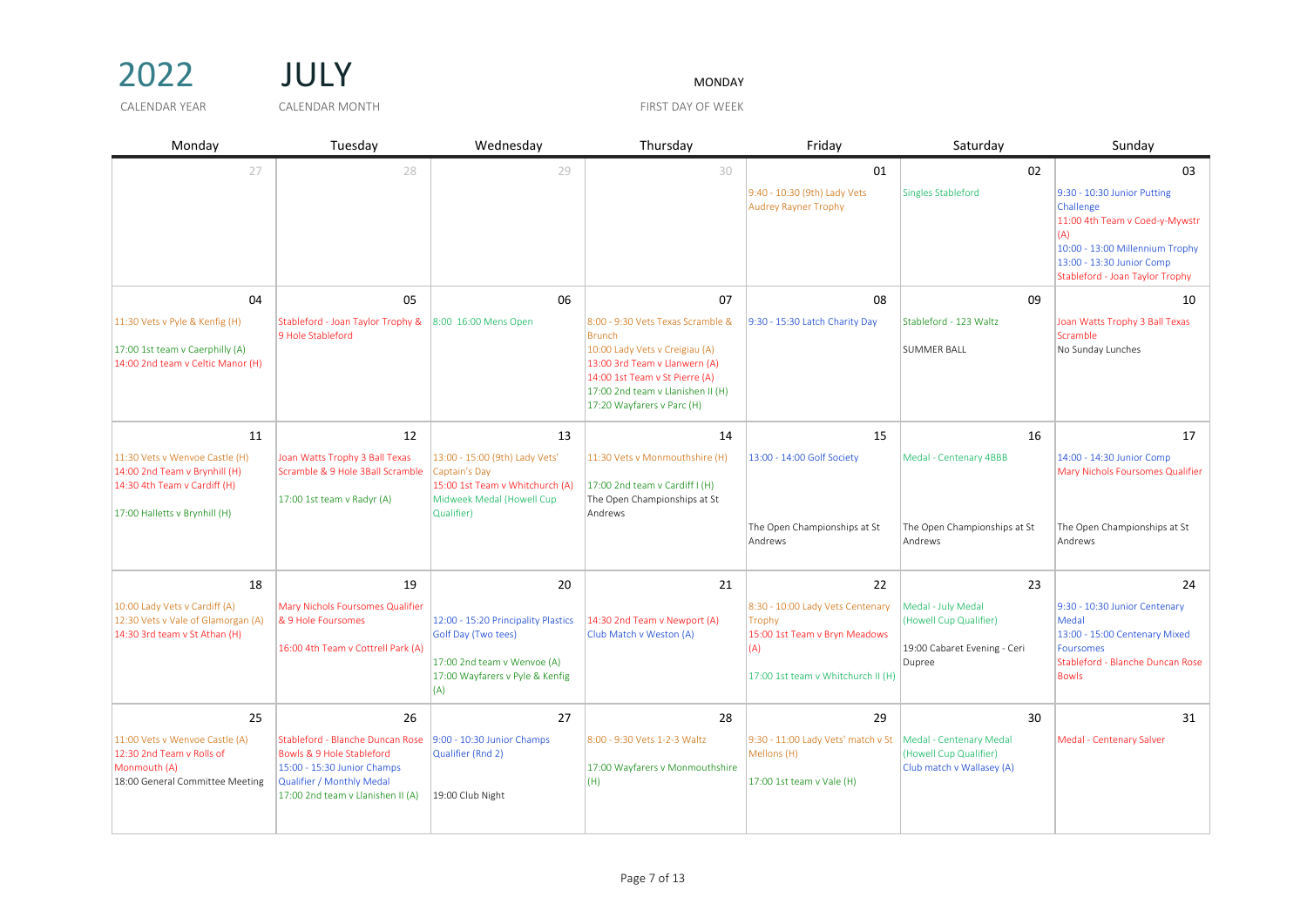

| Monday                                                                                                                           | Tuesday                                                                                                                                                        | Wednesday                                                                                                                           | Thursday                                                                                                                                                                                                                   | Friday                                                                                                                   | Saturday                                                                               | Sunday                                                                                                                                                                               |
|----------------------------------------------------------------------------------------------------------------------------------|----------------------------------------------------------------------------------------------------------------------------------------------------------------|-------------------------------------------------------------------------------------------------------------------------------------|----------------------------------------------------------------------------------------------------------------------------------------------------------------------------------------------------------------------------|--------------------------------------------------------------------------------------------------------------------------|----------------------------------------------------------------------------------------|--------------------------------------------------------------------------------------------------------------------------------------------------------------------------------------|
| 27                                                                                                                               | 28                                                                                                                                                             | 29                                                                                                                                  | 30                                                                                                                                                                                                                         | 01                                                                                                                       | 02                                                                                     | 03                                                                                                                                                                                   |
|                                                                                                                                  |                                                                                                                                                                |                                                                                                                                     |                                                                                                                                                                                                                            | 9:40 - 10:30 (9th) Lady Vets<br><b>Audrey Rayner Trophy</b>                                                              | <b>Singles Stableford</b>                                                              | 9:30 - 10:30 Junior Putting<br>Challenge<br>11:00 4th Team v Coed-y-Mywstr<br>(A)<br>10:00 - 13:00 Millennium Trophy<br>13:00 - 13:30 Junior Comp<br>Stableford - Joan Taylor Trophy |
| 04                                                                                                                               | 05                                                                                                                                                             | 06                                                                                                                                  | 07                                                                                                                                                                                                                         | 08                                                                                                                       | 09                                                                                     | 10                                                                                                                                                                                   |
| 11:30 Vets v Pyle & Kenfig (H)<br>17:00 1st team v Caerphilly (A)<br>14:00 2nd team v Celtic Manor (H)                           | Stableford - Joan Taylor Trophy &<br>9 Hole Stableford                                                                                                         | 8:00 16:00 Mens Open                                                                                                                | 8:00 - 9:30 Vets Texas Scramble &<br><b>Brunch</b><br>10:00 Lady Vets v Creigiau (A)<br>13:00 3rd Team v Llanwern (A)<br>14:00 1st Team v St Pierre (A)<br>17:00 2nd team v Llanishen II (H)<br>17:20 Wayfarers v Parc (H) | 9:30 - 15:30 Latch Charity Day                                                                                           | Stableford - 123 Waltz<br><b>SUMMER BALL</b>                                           | Joan Watts Trophy 3 Ball Texas<br>Scramble<br>No Sunday Lunches                                                                                                                      |
| 11                                                                                                                               | 12                                                                                                                                                             | 13                                                                                                                                  | 14                                                                                                                                                                                                                         | 15                                                                                                                       | 16                                                                                     | 17                                                                                                                                                                                   |
| 11:30 Vets v Wenvoe Castle (H)<br>14:00 2nd Team v Brynhill (H)<br>14:30 4th Team v Cardiff (H)<br>17:00 Halletts v Brynhill (H) | Joan Watts Trophy 3 Ball Texas<br>Scramble & 9 Hole 3Ball Scramble<br>17:00 1st team v Radyr (A)                                                               | 13:00 - 15:00 (9th) Lady Vets'<br>Captain's Day<br>15:00 1st Team v Whitchurch (A)<br>Midweek Medal (Howell Cup<br>Qualifier)       | 11:30 Vets v Monmouthshire (H)<br>17:00 2nd team v Cardiff I (H)<br>The Open Championships at St<br>Andrews                                                                                                                | 13:00 - 14:00 Golf Society<br>The Open Championships at St<br>Andrews                                                    | Medal - Centenary 4BBB<br>The Open Championships at St<br>Andrews                      | 14:00 - 14:30 Junior Comp<br>Mary Nichols Foursomes Qualifier<br>The Open Championships at St<br>Andrews                                                                             |
| 18                                                                                                                               | 19                                                                                                                                                             | 20                                                                                                                                  | 21                                                                                                                                                                                                                         | 22                                                                                                                       | 23                                                                                     | 24                                                                                                                                                                                   |
| 10:00 Lady Vets v Cardiff (A)<br>12:30 Vets v Vale of Glamorgan (A)<br>14:30 3rd team v St Athan (H)                             | Mary Nichols Foursomes Qualifier<br>& 9 Hole Foursomes<br>16:00 4th Team v Cottrell Park (A)                                                                   | 12:00 - 15:20 Principality Plastics<br>Golf Day (Two tees)<br>17:00 2nd team v Wenvoe (A)<br>17:00 Wayfarers v Pyle & Kenfig<br>(A) | 14:30 2nd Team v Newport (A)<br>Club Match v Weston (A)                                                                                                                                                                    | 8:30 - 10:00 Lady Vets Centenary<br>Trophy<br>15:00 1st Team v Bryn Meadows<br>(A)<br>17:00 1st team v Whitchurch II (H) | Medal - July Medal<br>(Howell Cup Qualifier)<br>19:00 Cabaret Evening - Ceri<br>Dupree | 9:30 - 10:30 Junior Centenary<br>Medal<br>13:00 - 15:00 Centenary Mixed<br><b>Foursomes</b><br>Stableford - Blanche Duncan Rose<br><b>Bowls</b>                                      |
| 25                                                                                                                               | 26                                                                                                                                                             | 27                                                                                                                                  | 28                                                                                                                                                                                                                         | 29                                                                                                                       | 30                                                                                     | 31                                                                                                                                                                                   |
| 11:00 Vets v Wenvoe Castle (A)<br>12:30 2nd Team v Rolls of<br>Monmouth (A)<br>18:00 General Committee Meeting                   | Stableford - Blanche Duncan Rose<br>Bowls & 9 Hole Stableford<br>15:00 - 15:30 Junior Champs<br>Qualifier / Monthly Medal<br>17:00 2nd team v Llanishen II (A) | 9:00 - 10:30 Junior Champs<br>Qualifier (Rnd 2)<br>19:00 Club Night                                                                 | 8:00 - 9:30 Vets 1-2-3 Waltz<br>17:00 Wayfarers v Monmouthshire<br>(H)                                                                                                                                                     | 9:30 - 11:00 Lady Vets' match v St<br>Mellons (H)<br>17:00 1st team v Vale (H)                                           | Medal - Centenary Medal<br>(Howell Cup Qualifier)<br>Club match v Wallasey (A)         | Medal - Centenary Salver                                                                                                                                                             |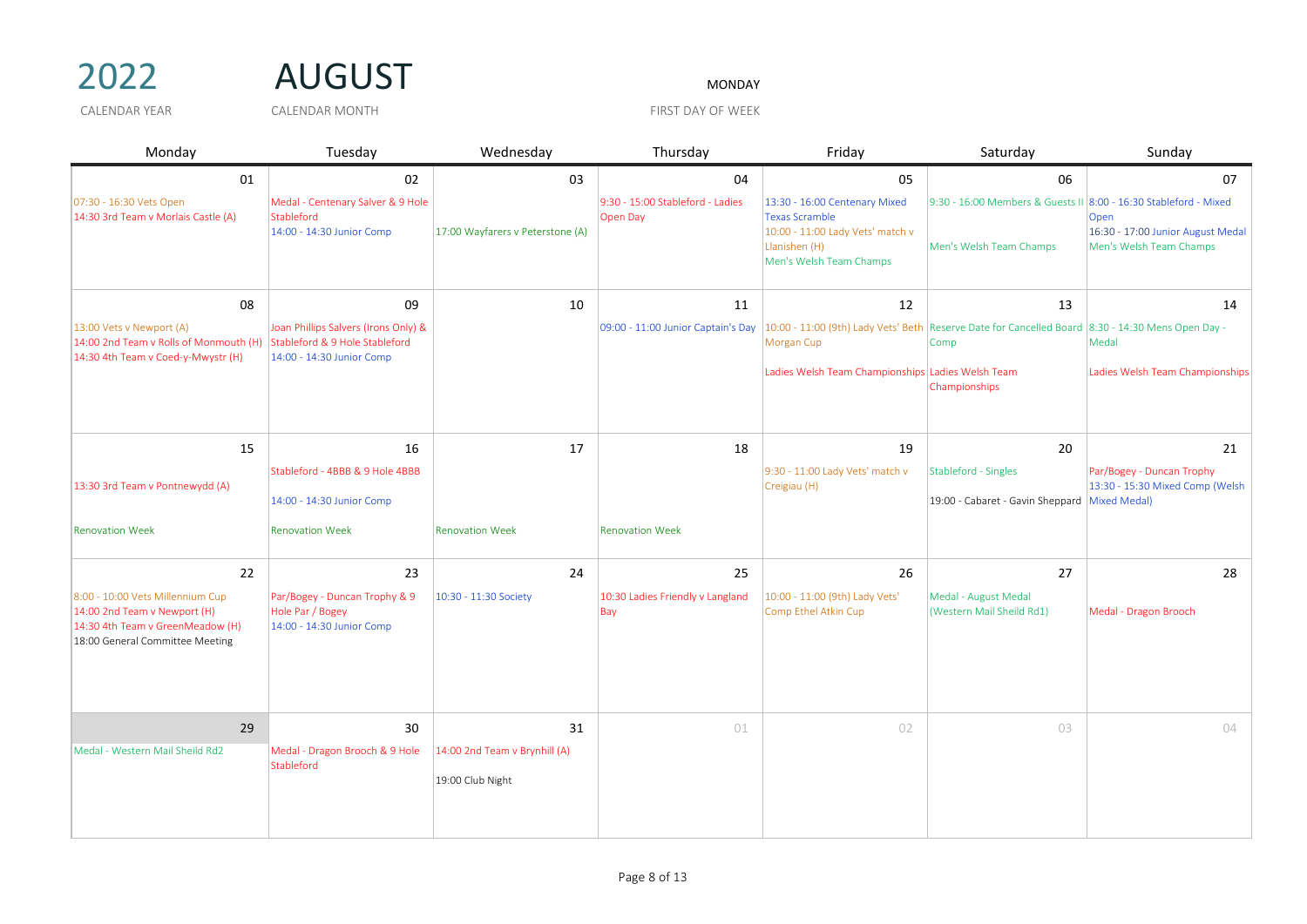## 2022 AUGUST

| Monday                                                                                                                                  | Tuesday                                                                                             | Wednesday                                         | Thursday                                     | Friday                                                                                                                                 | Saturday                                                                                    | Sunday                                                               |
|-----------------------------------------------------------------------------------------------------------------------------------------|-----------------------------------------------------------------------------------------------------|---------------------------------------------------|----------------------------------------------|----------------------------------------------------------------------------------------------------------------------------------------|---------------------------------------------------------------------------------------------|----------------------------------------------------------------------|
| 01                                                                                                                                      | 02                                                                                                  | 03                                                | 04                                           | 05                                                                                                                                     | 06                                                                                          | 07                                                                   |
| 07:30 - 16:30 Vets Open<br>14:30 3rd Team v Morlais Castle (A)                                                                          | Medal - Centenary Salver & 9 Hole<br>Stableford<br>14:00 - 14:30 Junior Comp                        | 17:00 Wayfarers v Peterstone (A)                  | 9:30 - 15:00 Stableford - Ladies<br>Open Day | 13:30 - 16:00 Centenary Mixed<br><b>Texas Scramble</b><br>10:00 - 11:00 Lady Vets' match v<br>Llanishen (H)<br>Men's Welsh Team Champs | 9:30 - 16:00 Members & Guests II 8:00 - 16:30 Stableford - Mixed<br>Men's Welsh Team Champs | Open<br>16:30 - 17:00 Junior August Medal<br>Men's Welsh Team Champs |
| 08                                                                                                                                      | 09                                                                                                  | 10                                                | 11                                           | 12                                                                                                                                     | 13                                                                                          | 14                                                                   |
| 13:00 Vets v Newport (A)<br>14:00 2nd Team v Rolls of Monmouth (H)<br>14:30 4th Team v Coed-y-Mwystr (H)                                | Joan Phillips Salvers (Irons Only) &<br>Stableford & 9 Hole Stableford<br>14:00 - 14:30 Junior Comp |                                                   | 09:00 - 11:00 Junior Captain's Day           | 10:00 - 11:00 (9th) Lady Vets' Beth Reserve Date for Cancelled Board 8:30 - 14:30 Mens Open Day -<br>Morgan Cup                        | Comp                                                                                        | Medal                                                                |
|                                                                                                                                         |                                                                                                     |                                                   |                                              | Ladies Welsh Team Championships Ladies Welsh Team                                                                                      | Championships                                                                               | Ladies Welsh Team Championships                                      |
| 15                                                                                                                                      | 16                                                                                                  | 17                                                | 18                                           | 19                                                                                                                                     | 20                                                                                          | 21                                                                   |
|                                                                                                                                         | Stableford - 4BBB & 9 Hole 4BBB                                                                     |                                                   |                                              | 9:30 - 11:00 Lady Vets' match v                                                                                                        | Stableford - Singles                                                                        | Par/Bogey - Duncan Trophy                                            |
| 13:30 3rd Team v Pontnewydd (A)                                                                                                         | 14:00 - 14:30 Junior Comp                                                                           |                                                   |                                              | Creigiau (H)                                                                                                                           | 19:00 - Cabaret - Gavin Sheppard Mixed Medal)                                               | 13:30 - 15:30 Mixed Comp (Welsh                                      |
| <b>Renovation Week</b>                                                                                                                  | <b>Renovation Week</b>                                                                              | <b>Renovation Week</b>                            | <b>Renovation Week</b>                       |                                                                                                                                        |                                                                                             |                                                                      |
| 22                                                                                                                                      | 23                                                                                                  | 24                                                | 25                                           | 26                                                                                                                                     | 27                                                                                          | 28                                                                   |
| 8:00 - 10:00 Vets Millennium Cup<br>14:00 2nd Team v Newport (H)<br>14:30 4th Team v GreenMeadow (H)<br>18:00 General Committee Meeting | Par/Bogey - Duncan Trophy & 9<br>Hole Par / Bogey<br>14:00 - 14:30 Junior Comp                      | 10:30 - 11:30 Society                             | 10:30 Ladies Friendly v Langland<br>Bay      | 10:00 - 11:00 (9th) Lady Vets'<br>Comp Ethel Atkin Cup                                                                                 | Medal - August Medal<br>(Western Mail Sheild Rd1)                                           | Medal - Dragon Brooch                                                |
| 29                                                                                                                                      | 30                                                                                                  | 31                                                | 01                                           | 02                                                                                                                                     | 03                                                                                          | 04                                                                   |
| Medal - Western Mail Sheild Rd2                                                                                                         | Medal - Dragon Brooch & 9 Hole<br>Stableford                                                        | 14:00 2nd Team v Brynhill (A)<br>19:00 Club Night |                                              |                                                                                                                                        |                                                                                             |                                                                      |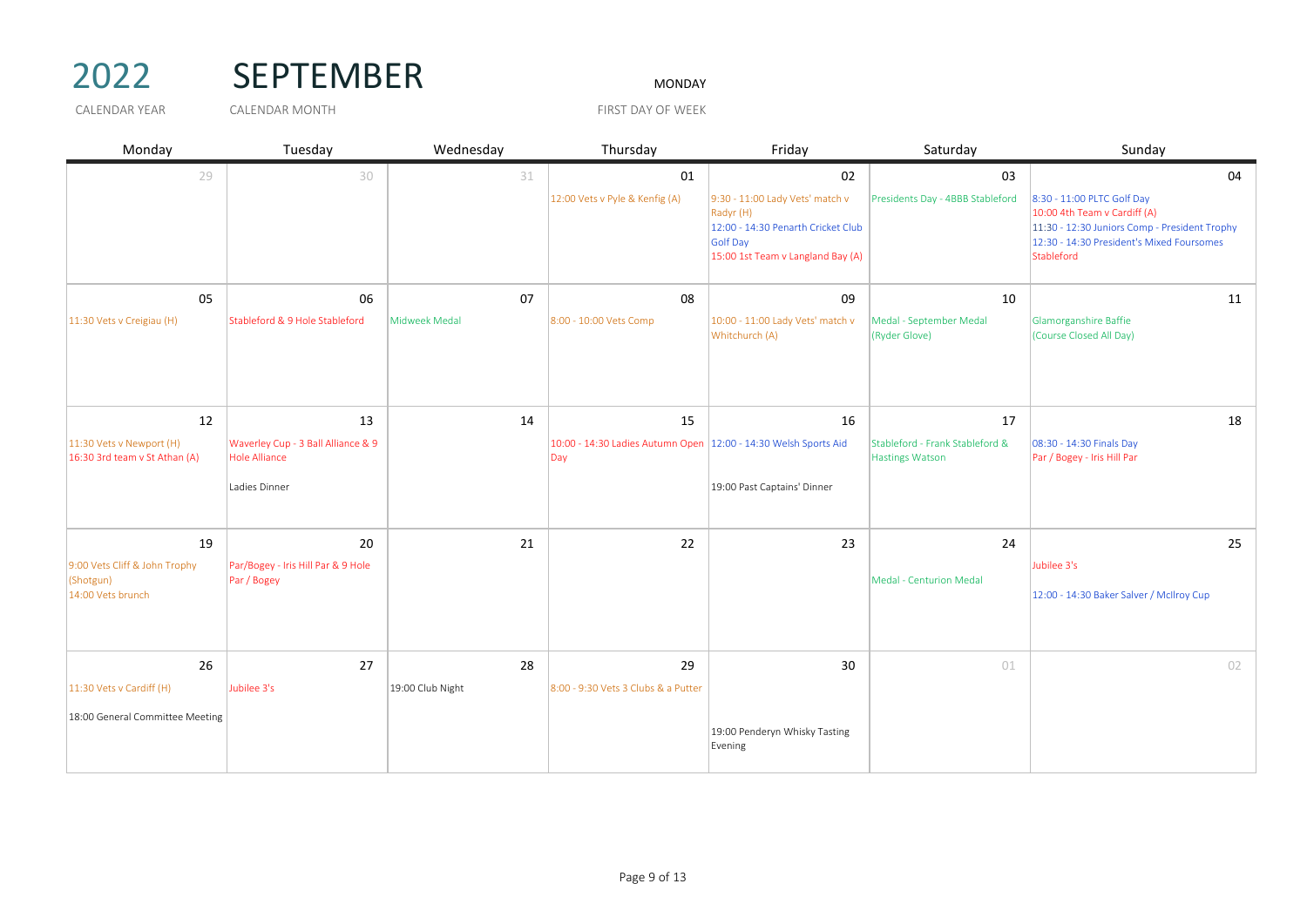

## 2022 SEPTEMBER MONDAY

| Monday                                                      | Tuesday                                                    | Wednesday        | Thursday                                                                 | Friday                                                                                                                              | Saturday                                           | Sunday                                                                                                                                                                 |
|-------------------------------------------------------------|------------------------------------------------------------|------------------|--------------------------------------------------------------------------|-------------------------------------------------------------------------------------------------------------------------------------|----------------------------------------------------|------------------------------------------------------------------------------------------------------------------------------------------------------------------------|
| 29                                                          | 30                                                         | 31               | 01                                                                       | 02                                                                                                                                  | 03                                                 | 04                                                                                                                                                                     |
|                                                             |                                                            |                  | 12:00 Vets v Pyle & Kenfig (A)                                           | 9:30 - 11:00 Lady Vets' match v<br>Radyr (H)<br>12:00 - 14:30 Penarth Cricket Club<br>Golf Day<br>15:00 1st Team v Langland Bay (A) | Presidents Day - 4BBB Stableford                   | 8:30 - 11:00 PLTC Golf Day<br>10:00 4th Team v Cardiff (A)<br>11:30 - 12:30 Juniors Comp - President Trophy<br>12:30 - 14:30 President's Mixed Foursomes<br>Stableford |
| 05                                                          | 06                                                         | 07               | 08                                                                       | 09                                                                                                                                  | 10                                                 | 11                                                                                                                                                                     |
| 11:30 Vets v Creigiau (H)                                   | Stableford & 9 Hole Stableford                             | Midweek Medal    | 8:00 - 10:00 Vets Comp                                                   | 10:00 - 11:00 Lady Vets' match v<br>Whitchurch (A)                                                                                  | Medal - September Medal<br>(Ryder Glove)           | Glamorganshire Baffie<br>(Course Closed All Day)                                                                                                                       |
| 12                                                          | 13                                                         | 14               | 15                                                                       | 16                                                                                                                                  | 17                                                 | 18                                                                                                                                                                     |
| $11:30$ Vets v Newport (H)<br>16:30 3rd team v St Athan (A) | Waverley Cup - 3 Ball Alliance & 9<br><b>Hole Alliance</b> |                  | 10:00 - 14:30 Ladies Autumn Open   12:00 - 14:30 Welsh Sports Aid<br>Day |                                                                                                                                     | Stableford - Frank Stableford &<br>Hastings Watson | 08:30 - 14:30 Finals Day<br>Par / Bogey - Iris Hill Par                                                                                                                |
|                                                             | Ladies Dinner                                              |                  |                                                                          | 19:00 Past Captains' Dinner                                                                                                         |                                                    |                                                                                                                                                                        |
| 19                                                          | 20                                                         | 21               | 22                                                                       | 23                                                                                                                                  | 24                                                 | 25                                                                                                                                                                     |
| 9:00 Vets Cliff & John Trophy                               | Par/Bogey - Iris Hill Par & 9 Hole                         |                  |                                                                          |                                                                                                                                     |                                                    | Jubilee 3's                                                                                                                                                            |
| (Shotgun)<br>14:00 Vets brunch                              | Par / Bogey                                                |                  |                                                                          |                                                                                                                                     | <b>Medal - Centurion Medal</b>                     | 12:00 - 14:30 Baker Salver / McIlroy Cup                                                                                                                               |
|                                                             |                                                            |                  |                                                                          |                                                                                                                                     |                                                    |                                                                                                                                                                        |
| 26                                                          | 27                                                         | 28               | 29                                                                       | 30                                                                                                                                  | 01                                                 | 02                                                                                                                                                                     |
| 11:30 Vets v Cardiff (H)                                    | Jubilee 3's                                                | 19:00 Club Night | 8:00 - 9:30 Vets 3 Clubs & a Putter                                      |                                                                                                                                     |                                                    |                                                                                                                                                                        |
| 18:00 General Committee Meeting                             |                                                            |                  |                                                                          | 19:00 Penderyn Whisky Tasting<br>Evening                                                                                            |                                                    |                                                                                                                                                                        |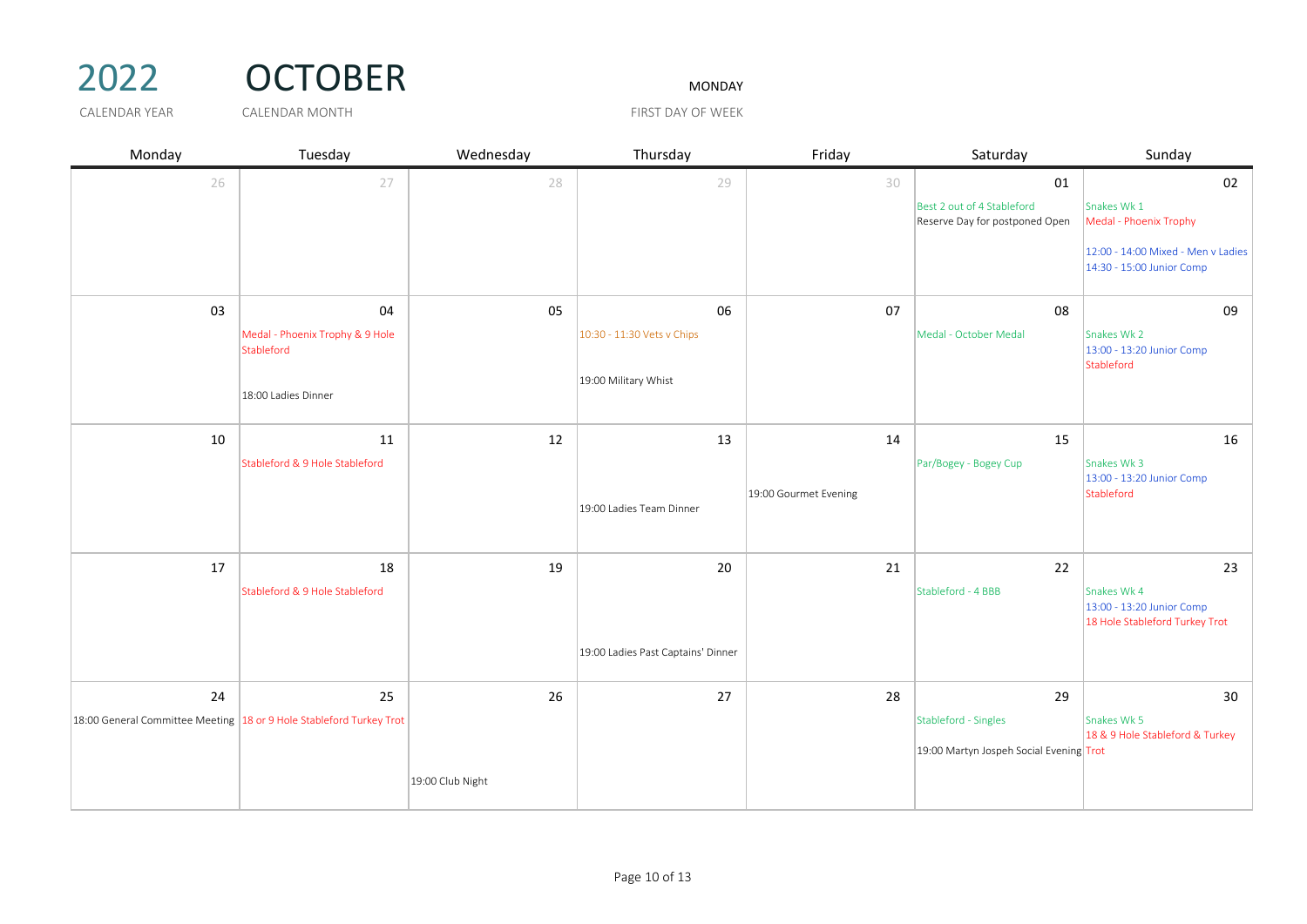

# 2022 OCTOBER MONDAY

| Monday | Tuesday                                                                     | Wednesday        | Thursday                           | Friday                | Saturday                                                     | Sunday                                                                     |
|--------|-----------------------------------------------------------------------------|------------------|------------------------------------|-----------------------|--------------------------------------------------------------|----------------------------------------------------------------------------|
| 26     | 27                                                                          | 28               | 29                                 | 30                    | 01                                                           | 02                                                                         |
|        |                                                                             |                  |                                    |                       | Best 2 out of 4 Stableford<br>Reserve Day for postponed Open | Snakes Wk 1<br>Medal - Phoenix Trophy                                      |
|        |                                                                             |                  |                                    |                       |                                                              | 12:00 - 14:00 Mixed - Men v Ladies<br>14:30 - 15:00 Junior Comp            |
| 03     | 04                                                                          | 05               | 06                                 | 07                    | 08                                                           | 09                                                                         |
|        | Medal - Phoenix Trophy & 9 Hole<br>Stableford                               |                  | 10:30 - 11:30 Vets v Chips         |                       | Medal - October Medal                                        | Snakes Wk 2<br>13:00 - 13:20 Junior Comp<br>Stableford                     |
|        | 18:00 Ladies Dinner                                                         |                  | 19:00 Military Whist               |                       |                                                              |                                                                            |
| 10     | 11                                                                          | 12               | 13                                 | 14                    | 15                                                           | 16                                                                         |
|        | Stableford & 9 Hole Stableford                                              |                  |                                    |                       | Par/Bogey - Bogey Cup                                        | Snakes Wk 3<br>13:00 - 13:20 Junior Comp                                   |
|        |                                                                             |                  | 19:00 Ladies Team Dinner           | 19:00 Gourmet Evening |                                                              | Stableford                                                                 |
| 17     | 18                                                                          | 19               | 20                                 | 21                    | 22                                                           | 23                                                                         |
|        | Stableford & 9 Hole Stableford                                              |                  |                                    |                       | Stableford - 4 BBB                                           | Snakes Wk 4<br>13:00 - 13:20 Junior Comp<br>18 Hole Stableford Turkey Trot |
|        |                                                                             |                  | 19:00 Ladies Past Captains' Dinner |                       |                                                              |                                                                            |
| 24     | 25                                                                          | 26               | 27                                 | 28                    | 29                                                           | 30                                                                         |
|        | 18:00 General Committee Meeting $\vert$ 18 or 9 Hole Stableford Turkey Trot |                  |                                    |                       | Stableford - Singles                                         | Snakes Wk 5<br>18 & 9 Hole Stableford & Turkey                             |
|        |                                                                             |                  |                                    |                       | 19:00 Martyn Jospeh Social Evening Trot                      |                                                                            |
|        |                                                                             | 19:00 Club Night |                                    |                       |                                                              |                                                                            |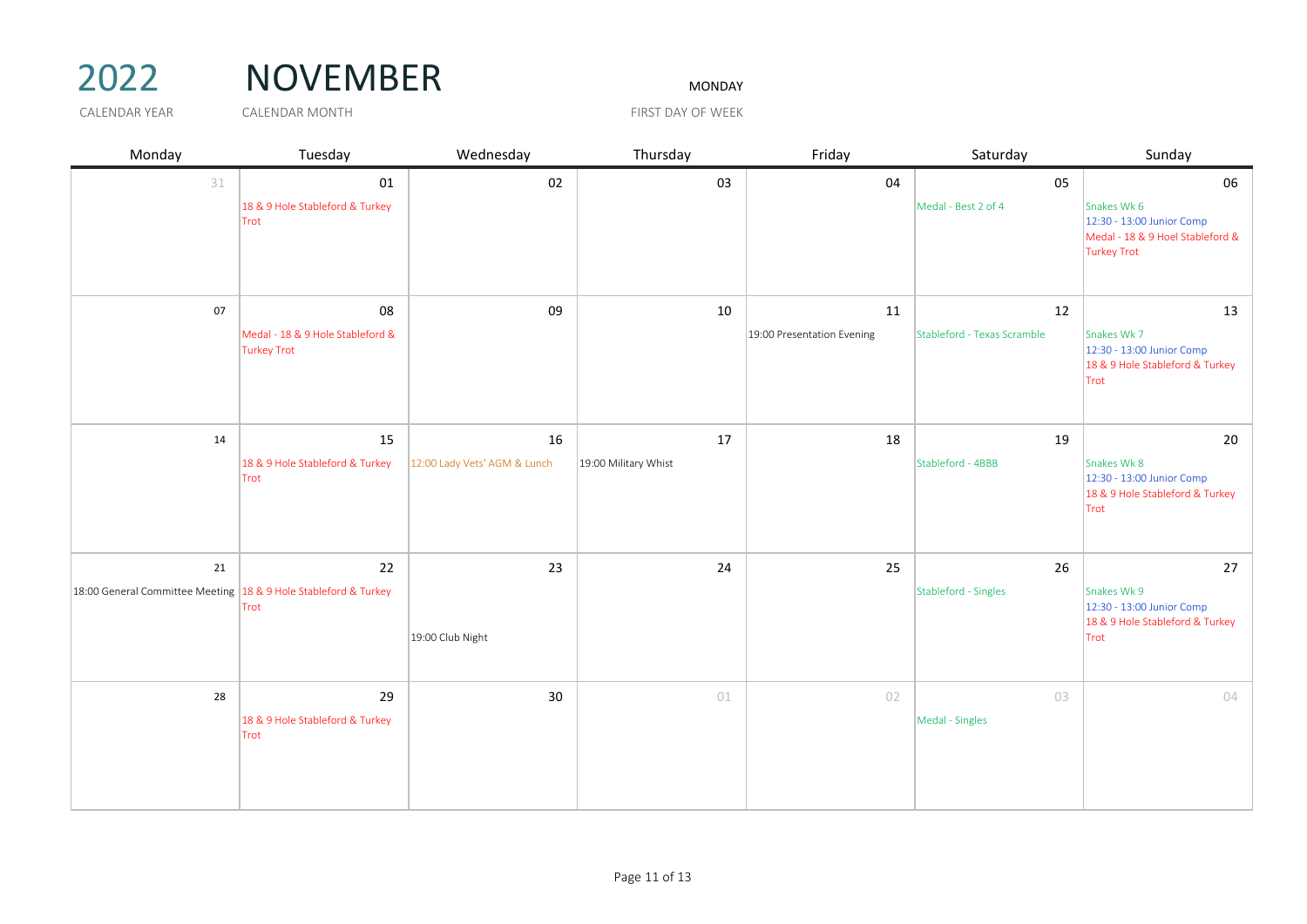# 2022 NOVEMBER

| Monday                                                                    | Tuesday                                                      | Wednesday                          | Thursday                   | Friday                           | Saturday                          | Sunday                                                                                                   |
|---------------------------------------------------------------------------|--------------------------------------------------------------|------------------------------------|----------------------------|----------------------------------|-----------------------------------|----------------------------------------------------------------------------------------------------------|
| 31                                                                        | 01<br>18 & 9 Hole Stableford & Turkey<br>Trot                | 02                                 | 03                         | 04                               | 05<br>Medal - Best 2 of 4         | 06<br>Snakes Wk 6<br>12:30 - 13:00 Junior Comp<br>Medal - 18 & 9 Hoel Stableford &<br><b>Turkey Trot</b> |
| 07                                                                        | 08<br>Medal - 18 & 9 Hole Stableford &<br><b>Turkey Trot</b> | 09                                 | 10                         | 11<br>19:00 Presentation Evening | 12<br>Stableford - Texas Scramble | 13<br>Snakes Wk 7<br>12:30 - 13:00 Junior Comp<br>18 & 9 Hole Stableford & Turkey<br>Trot                |
| 14                                                                        | 15<br>18 & 9 Hole Stableford & Turkey<br>Trot                | 16<br>12:00 Lady Vets' AGM & Lunch | 17<br>19:00 Military Whist | 18                               | 19<br>Stableford - 4BBB           | 20<br>Snakes Wk 8<br>12:30 - 13:00 Junior Comp<br>18 & 9 Hole Stableford & Turkey<br>Trot                |
| 21<br>18:00 General Committee Meeting $ 18 \& 9$ Hole Stableford & Turkey | 22<br>Trot                                                   | 23<br>19:00 Club Night             | 24                         | 25                               | 26<br>Stableford - Singles        | 27<br>Snakes Wk 9<br>12:30 - 13:00 Junior Comp<br>18 & 9 Hole Stableford & Turkey<br>Trot                |
| 28                                                                        | 29<br>18 & 9 Hole Stableford & Turkey<br>Trot                | 30                                 | 01                         | 02                               | 03<br>Medal - Singles             | 04                                                                                                       |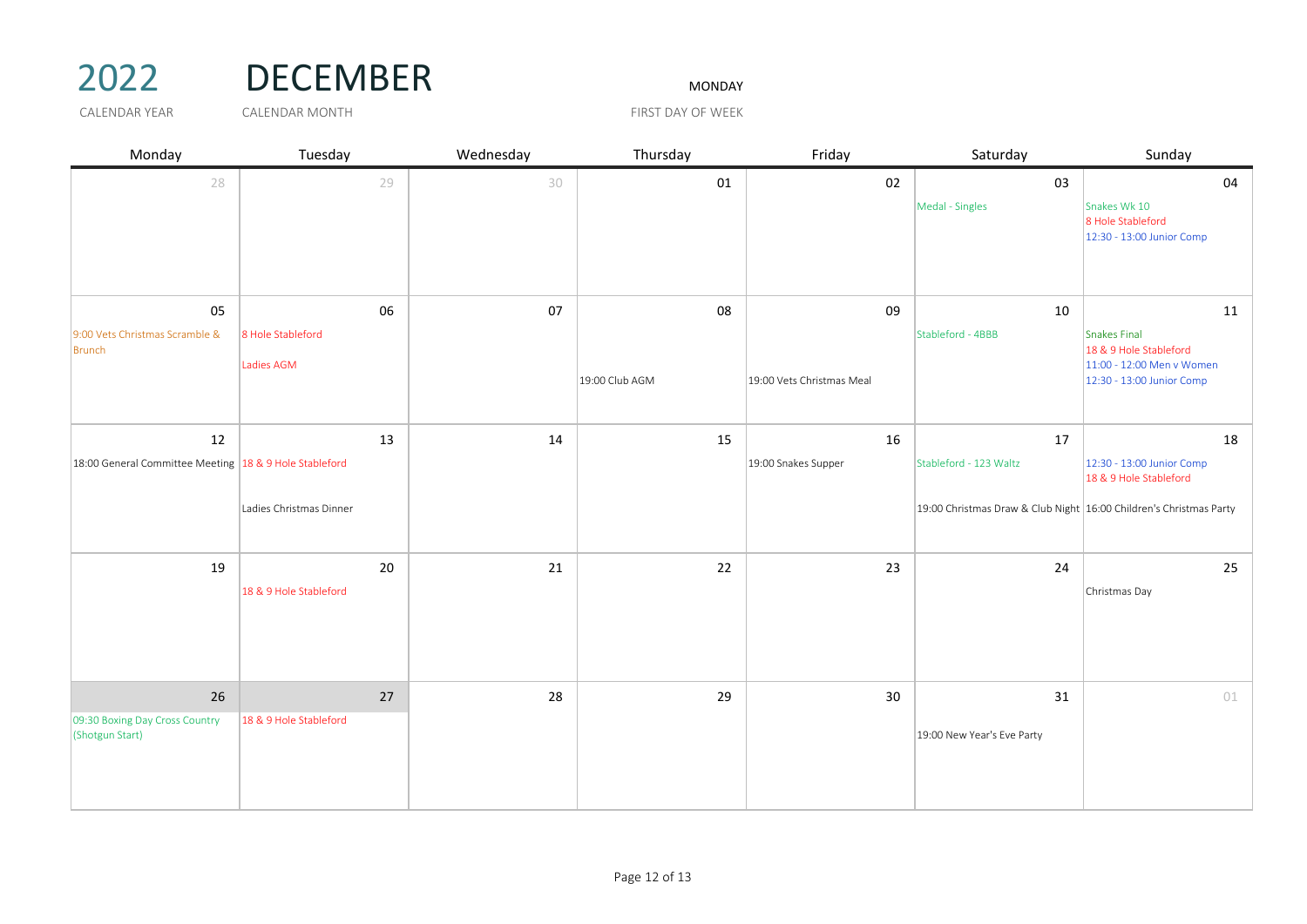# 2022 DECEMBER MONDAY

| Monday                                                 | Tuesday                         | Wednesday | Thursday       | Friday                    | Saturday                                                           | Sunday                                                                                           |
|--------------------------------------------------------|---------------------------------|-----------|----------------|---------------------------|--------------------------------------------------------------------|--------------------------------------------------------------------------------------------------|
| 28                                                     | 29                              | 30        | 01             | 02                        | 03                                                                 | 04                                                                                               |
|                                                        |                                 |           |                |                           | Medal - Singles                                                    | Snakes Wk 10<br>8 Hole Stableford<br>12:30 - 13:00 Junior Comp                                   |
| 05                                                     | 06                              | 07        | 08             | 09                        | 10                                                                 | 11                                                                                               |
| 9:00 Vets Christmas Scramble &<br>Brunch               | 8 Hole Stableford<br>Ladies AGM |           | 19:00 Club AGM | 19:00 Vets Christmas Meal | Stableford - 4BBB                                                  | Snakes Final<br>18 & 9 Hole Stableford<br>11:00 - 12:00 Men v Women<br>12:30 - 13:00 Junior Comp |
|                                                        |                                 |           |                |                           |                                                                    |                                                                                                  |
| 12                                                     | 13                              | 14        | 15             | 16                        | 17                                                                 | 18                                                                                               |
| 18:00 General Committee Meeting 18 & 9 Hole Stableford |                                 |           |                | 19:00 Snakes Supper       | Stableford - 123 Waltz                                             | 12:30 - 13:00 Junior Comp<br>18 & 9 Hole Stableford                                              |
|                                                        | Ladies Christmas Dinner         |           |                |                           | 19:00 Christmas Draw & Club Night 16:00 Children's Christmas Party |                                                                                                  |
| 19                                                     | 20<br>18 & 9 Hole Stableford    | 21        | 22             | 23                        | 24                                                                 | 25<br>Christmas Day                                                                              |
| 26                                                     | 27                              | 28        | 29             | 30                        | 31                                                                 | 01                                                                                               |
| 09:30 Boxing Day Cross Country<br>(Shotgun Start)      | 18 & 9 Hole Stableford          |           |                |                           | 19:00 New Year's Eve Party                                         |                                                                                                  |